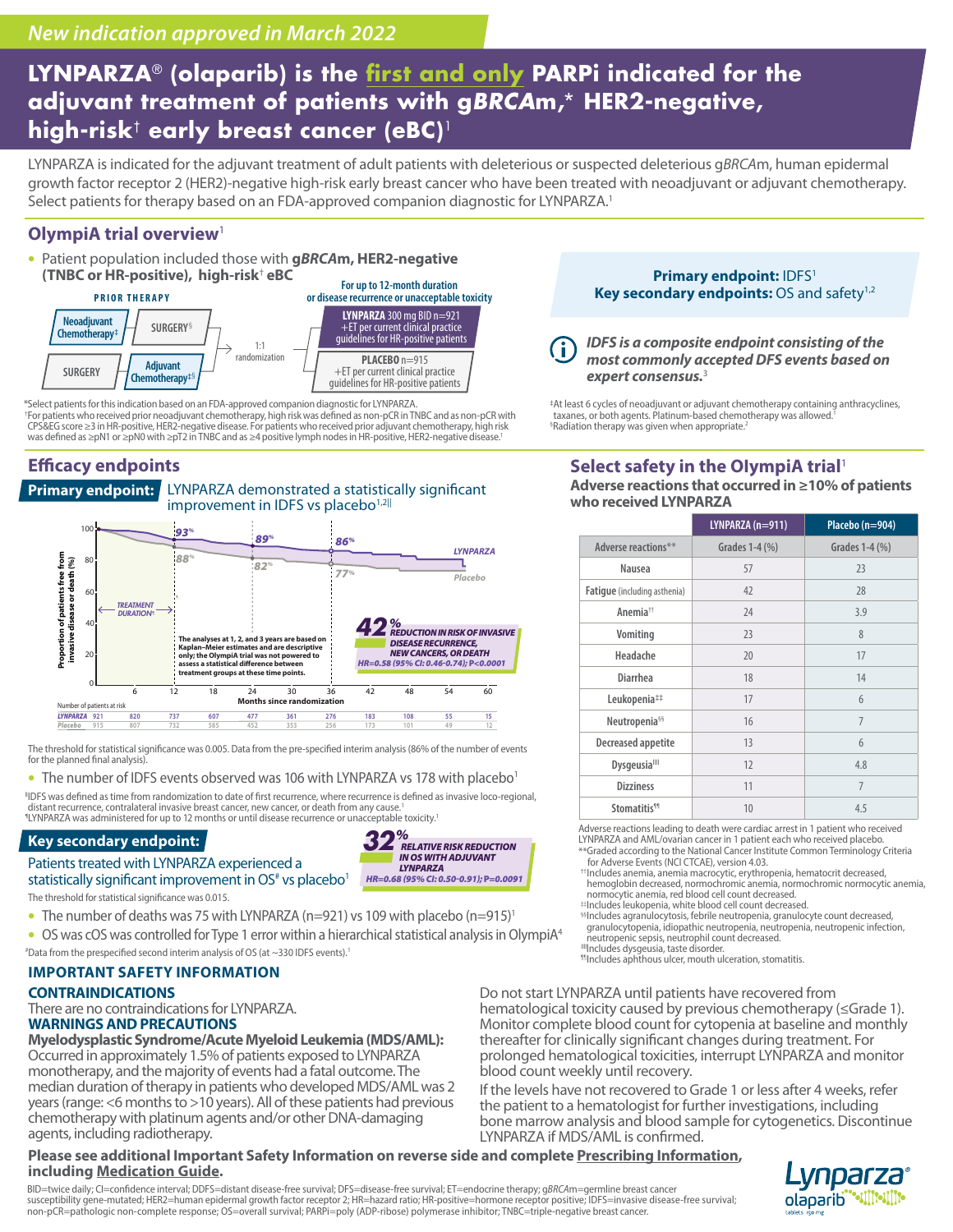# **LYNPARZA**® **(olaparib) is the first and only PARPi indicated for the adjuvant treatment of patients with g***BRCA***m,**\* **HER2-negative, high-risk**† **early breast cancer (eBC)**<sup>1</sup>

LYNPARZA is indicated for the adjuvant treatment of adult patients with deleterious or suspected deleterious g*BRCA*m, human epidermal growth factor receptor 2 (HER2)-negative high-risk early breast cancer who have been treated with neoadjuvant or adjuvant chemotherapy. Select patients for therapy based on an FDA-approved companion diagnostic for LYNPARZA.<sup>1</sup>

# **OlympiA trial overview**<sup>1</sup>

• Patient population included those with **g***BRCA***m, HER2-negative (TNBC or HR-positive), high-risk**†  **eBC**



\*Select patients for this indication based on an FDA-approved companion diagnostic for LYNPARZA. †For patients who received prior neoadjuvant chemotherapy, high risk was defined as non-pCR in TNBC and as non-pCR with CPS&EG score ≥3 in HR-positive, HER2-negative disease. For patients who received prior adjuvant chemotherapy, high risk was defined as ≥pN1 or ≥pN0 with ≥pT2 in TNBC and as ≥4 positive lymph nodes in HR-positive, HER2-negative disease.<sup>1</sup>

# **Efficacy endpoints**





The threshold for statistical significance was 0.005. Data from the pre-specified interim analysis (86% of the number of events for the planned final analysis)

#### • The number of IDFS events observed was 106 with LYNPARZA vs 178 with placebo<sup>1</sup>

||IDFS was defined as time from randomization to date of first recurrence, where recurrence is defined as invasive loco-regional, distant recurrence, contralateral invasive breast cancer, new cancer, or death from any cause.<sup>1</sup><br>LLYNPARZA was administered for up to 12 months or until disease recurrence or unacceptable toxicity.<sup>1</sup>

## **Key secondary endpoint:**

Patients treated with LYNPARZA experienced a statistically significant improvement in  $OS^*$  vs placebo<sup>1</sup> The threshold for statistical significance was 0.015.



- The number of deaths was 75 with LYNPARZA (n=921) vs 109 with placebo (n=915)<sup>1</sup>
- OS was cOS was controlled for Type 1 error within a hierarchical statistical analysis in OlympiA4 ⊕ata from the prespecified second interim analysis of OS (at ~330 IDFS events).<sup>1</sup><br>Mincludes aphthous ulcer, mouth ulceration, stomatitis.

## **IMPORTANT SAFETY INFORMATION**

## **CONTRAINDICATIONS**

agents, including radiotherapy.

There are no contraindications for LYNPARZA. **WARNINGS AND PRECAUTIONS**

**Myelodysplastic Syndrome/Acute Myeloid Leukemia (MDS/AML):**  Occurred in approximately 1.5% of patients exposed to LYNPARZA monotherapy, and the majority of events had a fatal outcome. The median duration of therapy in patients who developed MDS/AML was 2 years (range: <6 months to >10 years). All of these patients had previous chemotherapy with platinum agents and/or other DNA-damaging

# **Please se[e additional Import](http://www.azpicentral.com/pi.html?product=lynparza_tb&medguide=y )ant Safety Information on reverse side and complete [Prescribing Information,](http://www.azpicentral.com/pi.html?product=lynparza_tb ) including [Medication Guide.](http://www.azpicentral.com/pi.html?product=lynparza_tb&medguide=y )**

BID=twice daily; Cl=confidence interval; DDFS=distant disease-free survival; DFS=disease-free survival; ET=endocrine therapy; g*BRCA*m=germline breast cancer<br>susceptibility gene-mutated; HER2=human epidermal growth factor non-pCR=pathologic non-complete response; OS=overall survival; PARPi=poly (ADP-ribose) polymerase inhibitor; TNBC=triple-negative breast cancer.

**Primary endpoint: IDFS<sup>1</sup>** Key secondary endpoints: OS and safety<sup>1,2</sup>

*IDFS is a composite endpoint consisting of the most commonly accepted DFS events based on expert consensus.*<sup>3</sup>

‡At least 6 cycles of neoadjuvant or adjuvant chemotherapy containing anthracyclines, taxanes, or both agents. Platinum-based chemotherapy was allowed.1 <sup>§</sup>Radiation therapy was given when appropriate.<sup>2</sup>

# **Select safety in the OlympiA trial**<sup>1</sup>

| who received LYNPARZA |                              |                   |                 |  |  |  |  |
|-----------------------|------------------------------|-------------------|-----------------|--|--|--|--|
|                       |                              | $LYNPARZA(n=911)$ | Placebo (n=904) |  |  |  |  |
|                       | Adverse reactions**          | Grades 1-4 (%)    | Grades 1-4 (%)  |  |  |  |  |
|                       | Nausea                       | 57                | 23              |  |  |  |  |
|                       | Fatigue (including asthenia) | 42                | 28              |  |  |  |  |
|                       | Anemia <sup>++</sup>         | 24                | 3.9             |  |  |  |  |
|                       | Vomiting                     | 23                | 8               |  |  |  |  |
|                       | Headache                     | 20                | 17              |  |  |  |  |
|                       | <b>Diarrhea</b>              | 18                | 14              |  |  |  |  |
|                       | Leukopenia##                 | 17                | 6               |  |  |  |  |
|                       | Neutropenia <sup>§§</sup>    | 16                | $\overline{7}$  |  |  |  |  |
|                       | Decreased appetite           | 13                | 6               |  |  |  |  |

**Adverse reactions that occurred in ≥10% of patients** 

| Stomatitis <sup>11</sup>                                                                                                                                    | 10 | 45 |  |  |  |  |  |  |
|-------------------------------------------------------------------------------------------------------------------------------------------------------------|----|----|--|--|--|--|--|--|
| Adverse reactions leading to death were cardiac arrest in 1 patient who received<br>LYNPARZA and AML/ovarian cancer in 1 patient each who received placebo. |    |    |  |  |  |  |  |  |
| مشادقات والمسترا والمستحير والمستحير والمتحافظ والمستحا المستحلح والمستحل والمستحدث والمستحدث والمناسب                                                      |    |    |  |  |  |  |  |  |

**Dysgeusia**<sup>III</sup> 12 12 4.8

tte Common Terminology Criteria for Adverse Events (NCI CTCAE), version 4.03. ††Includes anemia, anemia macrocytic, erythropenia, hematocrit decreased,

hemoglobin decreased, normochromic anemia, normochromic normocytic anemia, normocytic anemia, red blood cell count decreased.

#Includes leukopenia, white blood cell count decreased.<br>§§Includes agranulocytosis, febrile neutropenia, granulocyte count decreased, granulocytopenia, idiopathic neutropenia, neutropenia, neutropenic infection,

neutropenic sepsis, neutrophil count decreased.

"|Includes dysgeusia, taste disorder.<br>"|Includes dysgeusia, taste disorder.<br>"|Includes aphthous ulcer, mouth ulceration, stomatitis.

**Dizziness** 11

Do not start LYNPARZA until patients have recovered from hematological toxicity caused by previous chemotherapy (≤Grade 1). Monitor complete blood count for cytopenia at baseline and monthly thereafter for clinically significant changes during treatment. For prolonged hematological toxicities, interrupt LYNPARZA and monitor blood count weekly until recovery.

If the levels have not recovered to Grade 1 or less after 4 weeks, refer the patient to a hematologist for further investigations, including bone marrow analysis and blood sample for cytogenetics. Discontinue LYNPARZA if MDS/AML is confirmed.